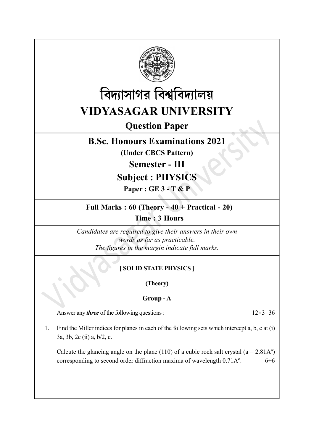



# Question Paper

## B.Sc. Honours Examinations 2021

(Under CBCS Pattern)

Semester - III

# Subject : PHYSICS

Paper : GE 3 - T & P

## Full Marks : 60 (Theory - 40 + Practical - 20)

Time : 3 Hours

Candidates are required to give their answers in their own words as far as practicable. The figures in the margin indicate full marks.

## [ SOLID STATE PHYSICS ]

(Theory)

## Group - A

Answer any *three* of the following questions :  $12 \times 3 = 36$ 

1. Find the Miller indices for planes in each of the following sets which intercept a, b, c at (i) 3a, 3b, 2c (ii) a, b/2, c.

Calcute the glancing angle on the plane (110) of a cubic rock salt crystal ( $a = 2.81A^{\circ}$ ) corresponding to second order diffraction maxima of wavelength  $0.71A<sup>o</sup>$ . 6+6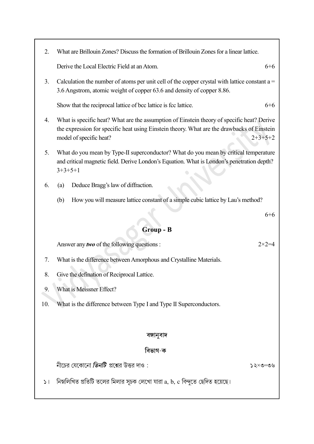2. What are Brillouin Zones? Discuss the formation of Brillouin Zones for a linear lattice.

Derive the Local Electric Field at an Atom. 6+6

3. Calculation the number of atoms per unit cell of the copper crystal with lattice constant  $a =$ 3.6 Angstrom, atomic weight of copper 63.6 and density of copper 8.86.

Show that the reciprocal lattice of bcc lattice is fcc lattice. 6+6

- 4. What is specific heat? What are the assumption of Einstein theory of specific heat? Derive the expression for specific heat using Einstein theory. What are the drawbacks of Einstein model of specific heat? 2+3+5+2
- 5. What do you mean by Type-II superconductor? What do you mean by critical temperature and critical magnetic field. Derive London's Equation. What is London's penetration depth? 3+3+5+1
- 6. (a) Deduce Bragg's law of diffraction.
	- (b) How you will measure lattice constant of a simple cubic lattice by Lau's method?

## Group - B

Answer any *two* of the following questions :  $2 \times 2 = 4$ 

- 7. What is the difference between Amorphous and Crystalline Materials.
- 8. Give the defination of Reciprocal Lattice.
- 9. What is Meissner Effect?
- 10. What is the difference between Type I and Type II Superconductors.

#### বঙ্গানুবাদ

#### বিভাগ-ক

নীচের যেকোনো **তি***নটি* **প্রশ্নে**র উত্তর দাও :

 $20 = 0 \times 52$ 

নিম্নলিখিত প্রতিটি তলের মিলার সূচক লেখো যারা  $\rm{a,\,b,\,c}$  বিন্দুতে ছেদিত হয়েছে।  $51$ 

6+6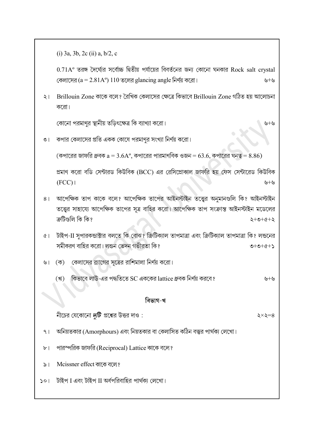(i) 3a, 3b, 2c (ii) a, b/2, c

 $0.71A<sup>o</sup>$  তরঙ্গ দৈর্ঘ্যের সর্বোচ্চ দ্বিতীয় পর্যায়ের বিবর্তনের জন্য কোনো ঘনকার Rock salt crystal কেলাসের (a = 2.81A°) 110 তলের glancing angle নির্ণয় করো।

২। Brillouin Zone কাকে বলে? রৈখিক কেলাসের ক্ষেত্রে কিভাবে Brillouin Zone গঠিত হয় আলোচনা করো।

কোনো পরমাণর স্থানীয় তডিৎক্ষেত্র কি ব্যাখ্যা করো।

৩। কপার কেলাসের প্রতি একক কোষে পরমাণুর সংখ্যা নির্ণয় করো।

 $\sigma$ পারের জাফরি ধ্রুবক  $a = 3.6A^{\circ}$ , কপারের পারমাণবিক ওজন =  $63.6$ , কপারের ঘনত্ব =  $8.86$ )

প্রমাণ করো বডি সেন্টারড কিউবিক (BCC) এর রেসিপ্রোকাল জাফরি হয় ফেস সেন্টারেড কিউবিক  $(FCC)$  +  $\vee$  +  $\vee$ 

- ৪। আপেক্ষিক তাপ কাকে বলে? আপেক্ষিক তাপের আইনস্টাইন তত্ত্বের অনুমানগুলি কি? আইনস্টাইন তত্ত্বের সাহায্যে আপেক্ষিক তাপের সূত্র বাহির করো। আপেক্ষিক তাপ সংক্রান্ত আইনস্টাইন মডেলের ক্ৰটিগুলি কি কি?  $5 + 2 + 2 + 5$
- ৫। টাইপ-II সুপারকন্ডাক্টার বলতে কি বোঝ? ক্রিটিক্যাল তাপমাত্রা এবং ক্রিটিক্যাল তাপমাত্রা কি? লন্ডনের সমীকরণ বাহির করো। লন্ডন ভেদন গভীরতা কি?  $2+2+0+0$
- ৬। (ক) কেলাসের ব্র্যাগের সূত্রের রাশিমালা নির্ণয় করো।
	- SC lattice + (খ)

#### বিভাগ-খ

নীচের যেকোনো *দটি* প্রশ্নের উত্তর দাও :

- অনিয়তকার (Amorphours) এবং নিয়তকার বা কেলাসিত কঠিন বস্তুর পার্থক্য লেখো।  $9<sub>1</sub>$
- পারস্পরিক জাফরি (Reciprocal) Lattice কাকে বলে?  $b<sub>1</sub>$
- Mcissner effect কাকে বলে?  $\geqslant$
- টাইপ I এবং টাইপ II অর্ধপরিবাহির পার্থকা লেখো।  $501$

 $\zeta \times \zeta = 8$ 

 $v + v$